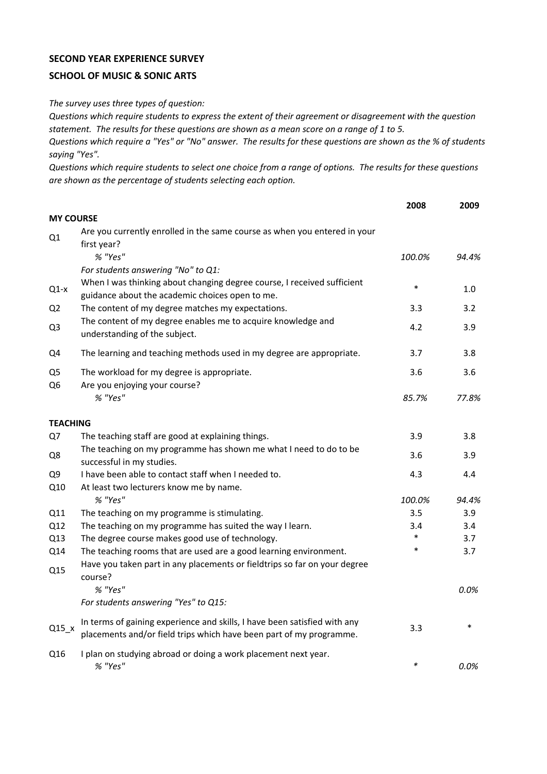## **SECOND YEAR EXPERIENCE SURVEY**

## **SCHOOL OF MUSIC & SONIC ARTS**

*The survey uses three types of question:*

*Questions which require students to express the extent of their agreement or disagreement with the question statement. The results for these questions are shown as a mean score on a range of 1 to 5.*

*Questions which require a "Yes" or "No" answer. The results for these questions are shown as the % of students saying "Yes".*

*Questions which require students to select one choice from a range of options. The results for these questions are shown as the percentage of students selecting each option.*

|                                 |                                                                                                                                                                  | 2008   | 2009   |
|---------------------------------|------------------------------------------------------------------------------------------------------------------------------------------------------------------|--------|--------|
| <b>MY COURSE</b>                |                                                                                                                                                                  |        |        |
| Q1                              | Are you currently enrolled in the same course as when you entered in your<br>first year?                                                                         |        |        |
|                                 | % "Yes"                                                                                                                                                          | 100.0% | 94.4%  |
| Q1-x                            | For students answering "No" to Q1:<br>When I was thinking about changing degree course, I received sufficient<br>guidance about the academic choices open to me. | $\ast$ | 1.0    |
| Q <sub>2</sub>                  | The content of my degree matches my expectations.                                                                                                                | 3.3    | 3.2    |
| Q <sub>3</sub>                  | The content of my degree enables me to acquire knowledge and<br>understanding of the subject.                                                                    | 4.2    | 3.9    |
| Q4                              | The learning and teaching methods used in my degree are appropriate.                                                                                             | 3.7    | 3.8    |
| Q <sub>5</sub><br>Q6            | The workload for my degree is appropriate.<br>Are you enjoying your course?                                                                                      | 3.6    | 3.6    |
|                                 | % "Yes"                                                                                                                                                          | 85.7%  | 77.8%  |
| <b>TEACHING</b>                 |                                                                                                                                                                  |        |        |
| Q7                              | The teaching staff are good at explaining things.                                                                                                                | 3.9    | 3.8    |
| Q8                              | The teaching on my programme has shown me what I need to do to be<br>successful in my studies.                                                                   | 3.6    | 3.9    |
| Q9                              | I have been able to contact staff when I needed to.                                                                                                              | 4.3    | 4.4    |
| Q10                             | At least two lecturers know me by name.                                                                                                                          |        |        |
|                                 | % "Yes"                                                                                                                                                          | 100.0% | 94.4%  |
| Q11                             | The teaching on my programme is stimulating.                                                                                                                     | 3.5    | 3.9    |
| Q12                             | The teaching on my programme has suited the way I learn.                                                                                                         | 3.4    | 3.4    |
| Q13                             | The degree course makes good use of technology.                                                                                                                  | $\ast$ | 3.7    |
| Q14<br>Q15                      | The teaching rooms that are used are a good learning environment.<br>Have you taken part in any placements or fieldtrips so far on your degree                   | $\ast$ | 3.7    |
|                                 | course?<br>% "Yes"                                                                                                                                               |        | 0.0%   |
|                                 | For students answering "Yes" to Q15:                                                                                                                             |        |        |
| $Q15$ <sub><math>x</math></sub> | In terms of gaining experience and skills, I have been satisfied with any<br>placements and/or field trips which have been part of my programme.                 | 3.3    | $\ast$ |
| Q16                             | I plan on studying abroad or doing a work placement next year.<br>% "Yes"                                                                                        | $\ast$ | 0.0%   |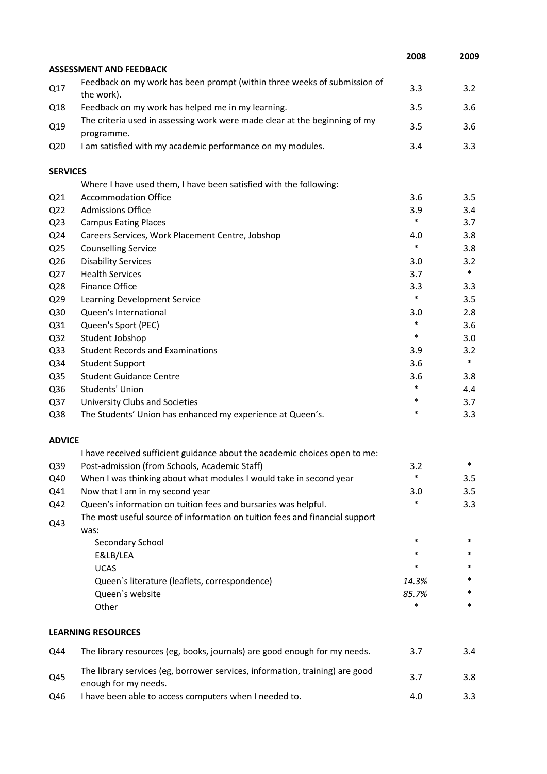|                 |                                                                                                      | 2008   | 2009   |
|-----------------|------------------------------------------------------------------------------------------------------|--------|--------|
|                 | <b>ASSESSMENT AND FEEDBACK</b>                                                                       |        |        |
| Q17             | Feedback on my work has been prompt (within three weeks of submission of<br>the work).               | 3.3    | 3.2    |
| Q18             | Feedback on my work has helped me in my learning.                                                    | 3.5    | 3.6    |
|                 | The criteria used in assessing work were made clear at the beginning of my                           |        |        |
| Q19             | programme.                                                                                           | 3.5    | 3.6    |
| Q <sub>20</sub> | I am satisfied with my academic performance on my modules.                                           | 3.4    | 3.3    |
| <b>SERVICES</b> |                                                                                                      |        |        |
|                 | Where I have used them, I have been satisfied with the following:                                    |        |        |
| Q <sub>21</sub> | <b>Accommodation Office</b>                                                                          | 3.6    | 3.5    |
| Q <sub>22</sub> | <b>Admissions Office</b>                                                                             | 3.9    | 3.4    |
| Q <sub>23</sub> | <b>Campus Eating Places</b>                                                                          | $\ast$ | 3.7    |
| Q24             | Careers Services, Work Placement Centre, Jobshop                                                     | 4.0    | 3.8    |
| Q <sub>25</sub> | <b>Counselling Service</b>                                                                           | $\ast$ | 3.8    |
| Q26             | <b>Disability Services</b>                                                                           | 3.0    | 3.2    |
| Q27             | <b>Health Services</b>                                                                               | 3.7    | $\ast$ |
| Q28             | <b>Finance Office</b>                                                                                | 3.3    | 3.3    |
| Q29             | Learning Development Service                                                                         | $\ast$ | 3.5    |
| Q30             | Queen's International                                                                                | 3.0    | 2.8    |
| Q31             | Queen's Sport (PEC)                                                                                  | $\ast$ | 3.6    |
| Q <sub>32</sub> | Student Jobshop                                                                                      | $\ast$ | 3.0    |
| Q <sub>33</sub> | <b>Student Records and Examinations</b>                                                              | 3.9    | 3.2    |
| Q34             | <b>Student Support</b>                                                                               | 3.6    | $\ast$ |
| Q35             | <b>Student Guidance Centre</b>                                                                       | 3.6    | 3.8    |
| Q36             | Students' Union                                                                                      | $\ast$ | 4.4    |
| Q37             | University Clubs and Societies                                                                       | *      | 3.7    |
| Q38             | The Students' Union has enhanced my experience at Queen's.                                           | *      | 3.3    |
| <b>ADVICE</b>   |                                                                                                      |        |        |
|                 | I have received sufficient guidance about the academic choices open to me:                           |        |        |
| Q39             | Post-admission (from Schools, Academic Staff)                                                        | 3.2    | *      |
| Q40             | When I was thinking about what modules I would take in second year                                   | $\ast$ | 3.5    |
| Q41             | Now that I am in my second year                                                                      | 3.0    | 3.5    |
| Q42             | Queen's information on tuition fees and bursaries was helpful.                                       | $\ast$ | 3.3    |
| Q43             | The most useful source of information on tuition fees and financial support<br>was:                  |        |        |
|                 | Secondary School                                                                                     | *      | $\ast$ |
|                 | E&LB/LEA                                                                                             | *      | *      |
|                 | <b>UCAS</b>                                                                                          | *      | *      |
|                 | Queen's literature (leaflets, correspondence)                                                        | 14.3%  | *      |
|                 | Queen's website                                                                                      | 85.7%  | *      |
|                 | Other                                                                                                | $\ast$ | *      |
|                 | <b>LEARNING RESOURCES</b>                                                                            |        |        |
| Q44             | The library resources (eg, books, journals) are good enough for my needs.                            | 3.7    | 3.4    |
| Q45             | The library services (eg, borrower services, information, training) are good<br>enough for my needs. | 3.7    | 3.8    |
| Q46             | I have been able to access computers when I needed to.                                               | 4.0    | 3.3    |
|                 |                                                                                                      |        |        |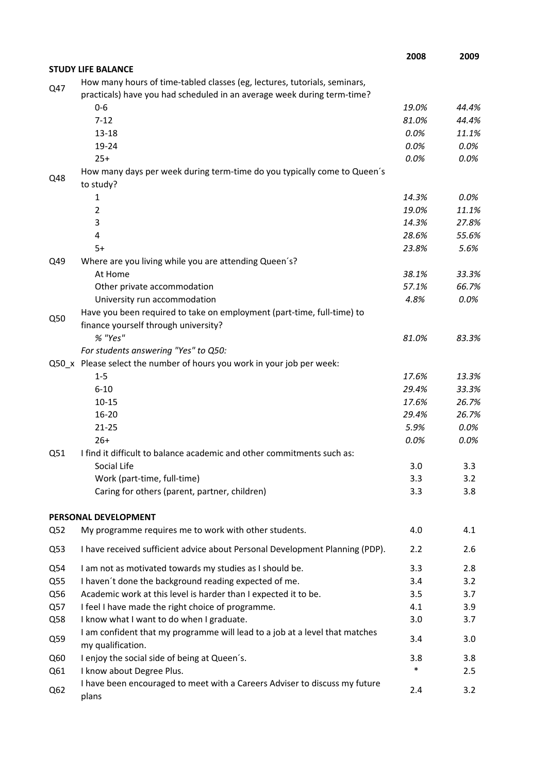|     |                                                                                                                                                      | 2008   | 2009    |
|-----|------------------------------------------------------------------------------------------------------------------------------------------------------|--------|---------|
|     | <b>STUDY LIFE BALANCE</b>                                                                                                                            |        |         |
| Q47 | How many hours of time-tabled classes (eg, lectures, tutorials, seminars,<br>practicals) have you had scheduled in an average week during term-time? |        |         |
|     | $0-6$                                                                                                                                                | 19.0%  | 44.4%   |
|     | $7 - 12$                                                                                                                                             | 81.0%  | 44.4%   |
|     | $13 - 18$                                                                                                                                            | 0.0%   | 11.1%   |
|     | 19-24                                                                                                                                                | 0.0%   | 0.0%    |
|     | $25+$                                                                                                                                                | 0.0%   | 0.0%    |
| Q48 | How many days per week during term-time do you typically come to Queen's<br>to study?                                                                |        |         |
|     | $\mathbf{1}$                                                                                                                                         | 14.3%  | $0.0\%$ |
|     | $\overline{2}$                                                                                                                                       | 19.0%  | 11.1%   |
|     | 3                                                                                                                                                    | 14.3%  | 27.8%   |
|     | 4                                                                                                                                                    | 28.6%  | 55.6%   |
|     | $5+$                                                                                                                                                 | 23.8%  | 5.6%    |
| Q49 | Where are you living while you are attending Queen's?                                                                                                |        |         |
|     | At Home                                                                                                                                              | 38.1%  | 33.3%   |
|     | Other private accommodation                                                                                                                          | 57.1%  | 66.7%   |
|     | University run accommodation                                                                                                                         | 4.8%   | 0.0%    |
| Q50 | Have you been required to take on employment (part-time, full-time) to                                                                               |        |         |
|     | finance yourself through university?                                                                                                                 |        |         |
|     | % "Yes"                                                                                                                                              | 81.0%  | 83.3%   |
|     | For students answering "Yes" to Q50:                                                                                                                 |        |         |
|     | Q50_x Please select the number of hours you work in your job per week:                                                                               |        |         |
|     | $1 - 5$                                                                                                                                              | 17.6%  | 13.3%   |
|     | $6 - 10$                                                                                                                                             | 29.4%  | 33.3%   |
|     | $10 - 15$                                                                                                                                            | 17.6%  | 26.7%   |
|     | 16-20                                                                                                                                                | 29.4%  | 26.7%   |
|     | $21 - 25$                                                                                                                                            | 5.9%   | 0.0%    |
|     | $26+$                                                                                                                                                | 0.0%   | 0.0%    |
| Q51 | I find it difficult to balance academic and other commitments such as:                                                                               |        |         |
|     | Social Life                                                                                                                                          | 3.0    | 3.3     |
|     | Work (part-time, full-time)                                                                                                                          | 3.3    | 3.2     |
|     | Caring for others (parent, partner, children)                                                                                                        | 3.3    | 3.8     |
|     | PERSONAL DEVELOPMENT                                                                                                                                 |        |         |
| Q52 | My programme requires me to work with other students.                                                                                                | 4.0    | 4.1     |
| Q53 | I have received sufficient advice about Personal Development Planning (PDP).                                                                         | 2.2    | 2.6     |
| Q54 | I am not as motivated towards my studies as I should be.                                                                                             | 3.3    | 2.8     |
| Q55 | I haven't done the background reading expected of me.                                                                                                | 3.4    | 3.2     |
| Q56 | Academic work at this level is harder than I expected it to be.                                                                                      | 3.5    | 3.7     |
| Q57 | I feel I have made the right choice of programme.                                                                                                    | 4.1    | 3.9     |
| Q58 | I know what I want to do when I graduate.                                                                                                            | 3.0    | 3.7     |
| Q59 | I am confident that my programme will lead to a job at a level that matches<br>my qualification.                                                     | 3.4    | 3.0     |
| Q60 | I enjoy the social side of being at Queen's.                                                                                                         | 3.8    | 3.8     |
| Q61 | I know about Degree Plus.                                                                                                                            | $\ast$ | 2.5     |
| Q62 | I have been encouraged to meet with a Careers Adviser to discuss my future<br>plans                                                                  | 2.4    | 3.2     |